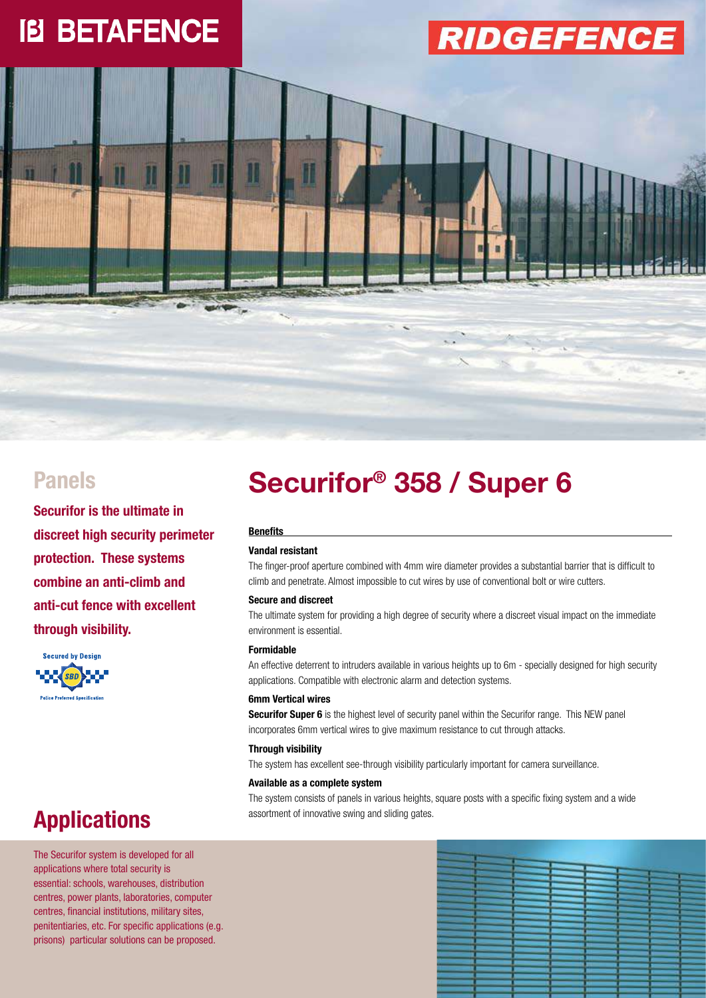# **IB BETAFENCE**

# **RIDGEFENCE**





### **Applications**

The Securifor system is developed for all applications where total security is essential: schools, warehouses, distribution centres, power plants, laboratories, computer centres, financial institutions, military sites, penitentiaries, etc. For specific applications (e.g. prisons) particular solutions can be proposed.

## **Securifor® Panels 358 / Super 6**

×.

#### **Benefits**

#### **Vandal resistant**

The finger-proof aperture combined with 4mm wire diameter provides a substantial barrier that is difficult to climb and penetrate. Almost impossible to cut wires by use of conventional bolt or wire cutters.

#### **Secure and discreet**

The ultimate system for providing a high degree of security where a discreet visual impact on the immediate environment is essential.

#### **Formidable**

An effective deterrent to intruders available in various heights up to 6m - specially designed for high security applications. Compatible with electronic alarm and detection systems.

#### **6mm Vertical wires**

**Securifor Super 6** is the highest level of security panel within the Securifor range. This NEW panel incorporates 6mm vertical wires to give maximum resistance to cut through attacks.

#### **Through visibility**

The system has excellent see-through visibility particularly important for camera surveillance.

#### **Available as a complete system**

The system consists of panels in various heights, square posts with a specific fixing system and a wide assortment of innovative swing and sliding gates.